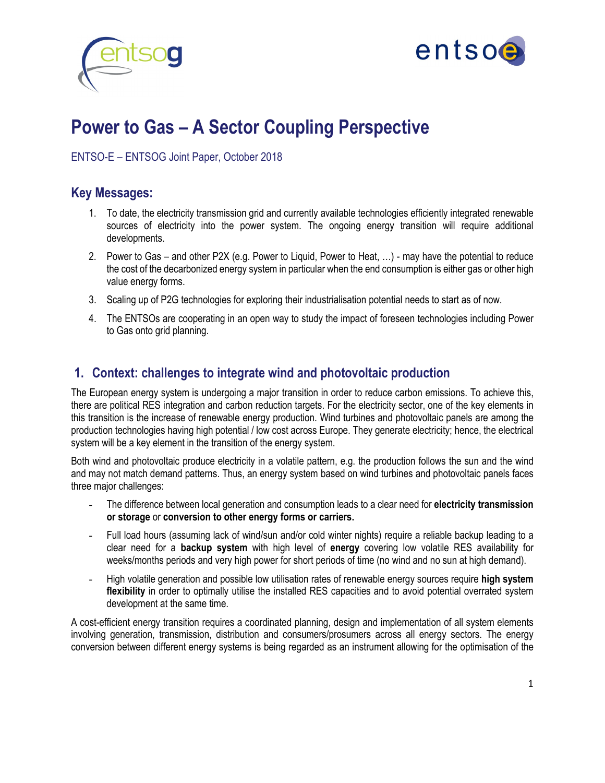



# **Power to Gas – A Sector Coupling Perspective**

ENTSO-E – ENTSOG Joint Paper, October 2018

#### **Key Messages:**

- 1. To date, the electricity transmission grid and currently available technologies efficiently integrated renewable sources of electricity into the power system. The ongoing energy transition will require additional developments.
- 2. Power to Gas and other P2X (e.g. Power to Liquid, Power to Heat, …) may have the potential to reduce the cost of the decarbonized energy system in particular when the end consumption is either gas or other high value energy forms.
- 3. Scaling up of P2G technologies for exploring their industrialisation potential needs to start as of now.
- 4. The ENTSOs are cooperating in an open way to study the impact of foreseen technologies including Power to Gas onto grid planning.

#### **1. Context: challenges to integrate wind and photovoltaic production**

The European energy system is undergoing a major transition in order to reduce carbon emissions. To achieve this, there are political RES integration and carbon reduction targets. For the electricity sector, one of the key elements in this transition is the increase of renewable energy production. Wind turbines and photovoltaic panels are among the production technologies having high potential / low cost across Europe. They generate electricity; hence, the electrical system will be a key element in the transition of the energy system.

Both wind and photovoltaic produce electricity in a volatile pattern, e.g. the production follows the sun and the wind and may not match demand patterns. Thus, an energy system based on wind turbines and photovoltaic panels faces three major challenges:

- The difference between local generation and consumption leads to a clear need for **electricity transmission or storage** or **conversion to other energy forms or carriers.**
- Full load hours (assuming lack of wind/sun and/or cold winter nights) require a reliable backup leading to a clear need for a **backup system** with high level of **energy** covering low volatile RES availability for weeks/months periods and very high power for short periods of time (no wind and no sun at high demand).
- High volatile generation and possible low utilisation rates of renewable energy sources require **high system flexibility** in order to optimally utilise the installed RES capacities and to avoid potential overrated system development at the same time.

A cost-efficient energy transition requires a coordinated planning, design and implementation of all system elements involving generation, transmission, distribution and consumers/prosumers across all energy sectors. The energy conversion between different energy systems is being regarded as an instrument allowing for the optimisation of the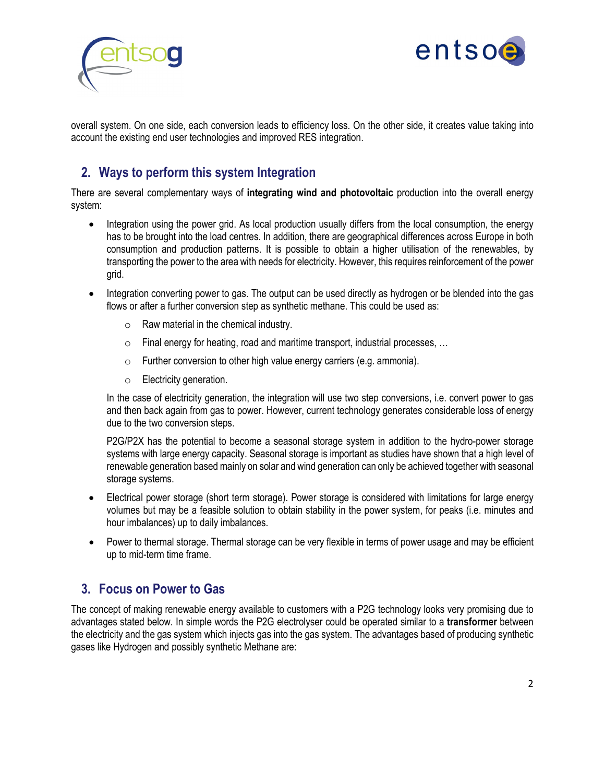



overall system. On one side, each conversion leads to efficiency loss. On the other side, it creates value taking into account the existing end user technologies and improved RES integration.

# **2. Ways to perform this system Integration**

There are several complementary ways of **integrating wind and photovoltaic** production into the overall energy system:

- Integration using the power grid. As local production usually differs from the local consumption, the energy has to be brought into the load centres. In addition, there are geographical differences across Europe in both consumption and production patterns. It is possible to obtain a higher utilisation of the renewables, by transporting the power to the area with needs for electricity. However, this requires reinforcement of the power grid.
- Integration converting power to gas. The output can be used directly as hydrogen or be blended into the gas flows or after a further conversion step as synthetic methane. This could be used as:
	- $\circ$  Raw material in the chemical industry.
	- o Final energy for heating, road and maritime transport, industrial processes, …
	- o Further conversion to other high value energy carriers (e.g. ammonia).
	- o Electricity generation.

In the case of electricity generation, the integration will use two step conversions, i.e. convert power to gas and then back again from gas to power. However, current technology generates considerable loss of energy due to the two conversion steps.

P2G/P2X has the potential to become a seasonal storage system in addition to the hydro-power storage systems with large energy capacity. Seasonal storage is important as studies have shown that a high level of renewable generation based mainly on solar and wind generation can only be achieved together with seasonal storage systems.

- Electrical power storage (short term storage). Power storage is considered with limitations for large energy volumes but may be a feasible solution to obtain stability in the power system, for peaks (i.e. minutes and hour imbalances) up to daily imbalances.
- Power to thermal storage. Thermal storage can be very flexible in terms of power usage and may be efficient up to mid-term time frame.

# **3. Focus on Power to Gas**

The concept of making renewable energy available to customers with a P2G technology looks very promising due to advantages stated below. In simple words the P2G electrolyser could be operated similar to a **transformer** between the electricity and the gas system which injects gas into the gas system. The advantages based of producing synthetic gases like Hydrogen and possibly synthetic Methane are: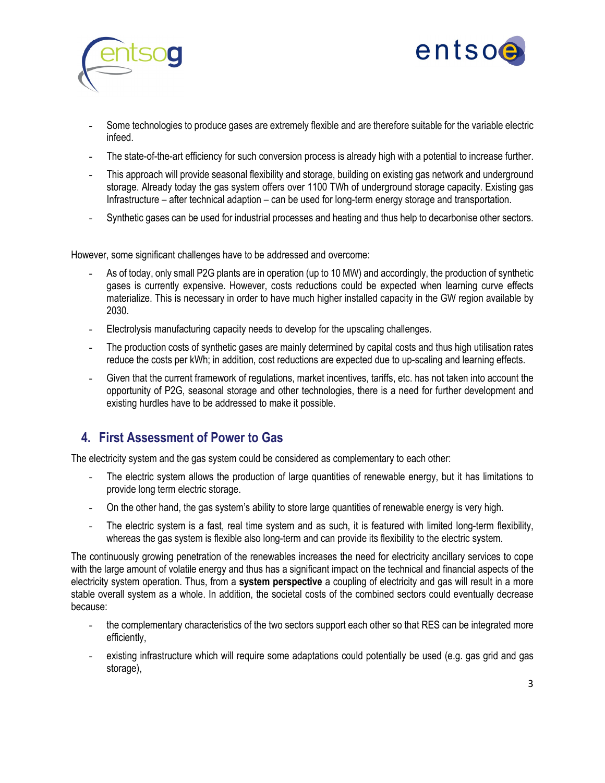



- Some technologies to produce gases are extremely flexible and are therefore suitable for the variable electric infeed.
- The state-of-the-art efficiency for such conversion process is already high with a potential to increase further.
- This approach will provide seasonal flexibility and storage, building on existing gas network and underground storage. Already today the gas system offers over 1100 TWh of underground storage capacity. Existing gas Infrastructure – after technical adaption – can be used for long-term energy storage and transportation.
- Synthetic gases can be used for industrial processes and heating and thus help to decarbonise other sectors.

However, some significant challenges have to be addressed and overcome:

- As of today, only small P2G plants are in operation (up to 10 MW) and accordingly, the production of synthetic gases is currently expensive. However, costs reductions could be expected when learning curve effects materialize. This is necessary in order to have much higher installed capacity in the GW region available by 2030.
- Electrolysis manufacturing capacity needs to develop for the upscaling challenges.
- The production costs of synthetic gases are mainly determined by capital costs and thus high utilisation rates reduce the costs per kWh; in addition, cost reductions are expected due to up-scaling and learning effects.
- Given that the current framework of regulations, market incentives, tariffs, etc. has not taken into account the opportunity of P2G, seasonal storage and other technologies, there is a need for further development and existing hurdles have to be addressed to make it possible.

# **4. First Assessment of Power to Gas**

The electricity system and the gas system could be considered as complementary to each other:

- The electric system allows the production of large quantities of renewable energy, but it has limitations to provide long term electric storage.
- On the other hand, the gas system's ability to store large quantities of renewable energy is very high.
- The electric system is a fast, real time system and as such, it is featured with limited long-term flexibility, whereas the gas system is flexible also long-term and can provide its flexibility to the electric system.

The continuously growing penetration of the renewables increases the need for electricity ancillary services to cope with the large amount of volatile energy and thus has a significant impact on the technical and financial aspects of the electricity system operation. Thus, from a **system perspective** a coupling of electricity and gas will result in a more stable overall system as a whole. In addition, the societal costs of the combined sectors could eventually decrease because:

- the complementary characteristics of the two sectors support each other so that RES can be integrated more efficiently,
- existing infrastructure which will require some adaptations could potentially be used (e.g. gas grid and gas storage),